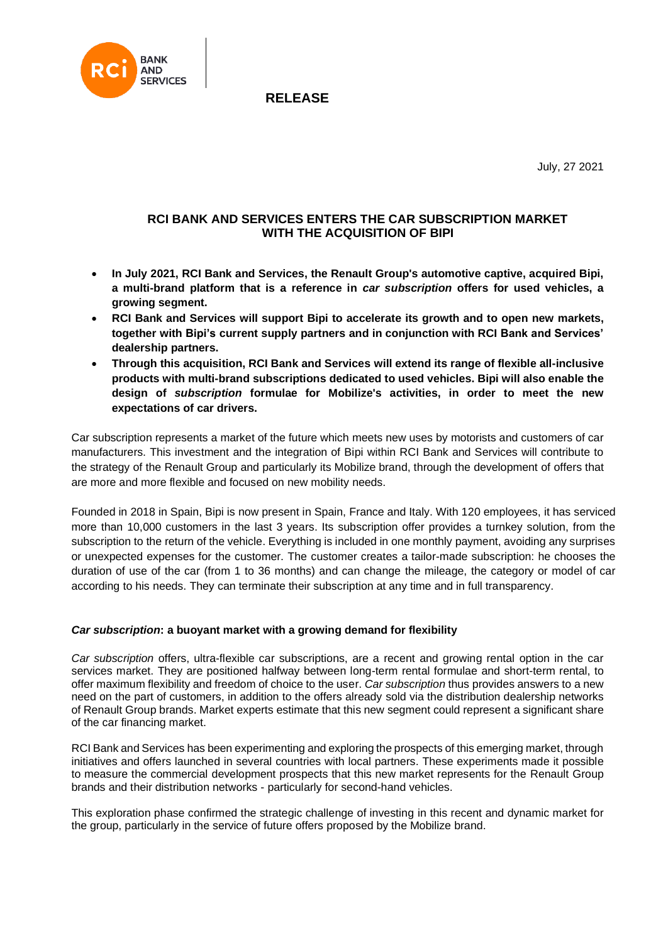

**RELEASE** 

July, 27 2021

## **RCI BANK AND SERVICES ENTERS THE CAR SUBSCRIPTION MARKET WITH THE ACQUISITION OF BIPI**

- **In July 2021, RCI Bank and Services, the Renault Group's automotive captive, acquired Bipi, a multi-brand platform that is a reference in** *car subscription* **offers for used vehicles, a growing segment.**
- **RCI Bank and Services will support Bipi to accelerate its growth and to open new markets, together with Bipi's current supply partners and in conjunction with RCI Bank and Services' dealership partners.**
- **Through this acquisition, RCI Bank and Services will extend its range of flexible all-inclusive products with multi-brand subscriptions dedicated to used vehicles. Bipi will also enable the design of** *subscription* **formulae for Mobilize's activities, in order to meet the new expectations of car drivers.**

Car subscription represents a market of the future which meets new uses by motorists and customers of car manufacturers. This investment and the integration of Bipi within RCI Bank and Services will contribute to the strategy of the Renault Group and particularly its Mobilize brand, through the development of offers that are more and more flexible and focused on new mobility needs.

Founded in 2018 in Spain, Bipi is now present in Spain, France and Italy. With 120 employees, it has serviced more than 10,000 customers in the last 3 years. Its subscription offer provides a turnkey solution, from the subscription to the return of the vehicle. Everything is included in one monthly payment, avoiding any surprises or unexpected expenses for the customer. The customer creates a tailor-made subscription: he chooses the duration of use of the car (from 1 to 36 months) and can change the mileage, the category or model of car according to his needs. They can terminate their subscription at any time and in full transparency.

### *Car subscription***: a buoyant market with a growing demand for flexibility**

*Car subscription* offers, ultra-flexible car subscriptions, are a recent and growing rental option in the car services market. They are positioned halfway between long-term rental formulae and short-term rental, to offer maximum flexibility and freedom of choice to the user. *Car subscription* thus provides answers to a new need on the part of customers, in addition to the offers already sold via the distribution dealership networks of Renault Group brands. Market experts estimate that this new segment could represent a significant share of the car financing market.

RCI Bank and Services has been experimenting and exploring the prospects of this emerging market, through initiatives and offers launched in several countries with local partners. These experiments made it possible to measure the commercial development prospects that this new market represents for the Renault Group brands and their distribution networks - particularly for second-hand vehicles.

This exploration phase confirmed the strategic challenge of investing in this recent and dynamic market for the group, particularly in the service of future offers proposed by the Mobilize brand.